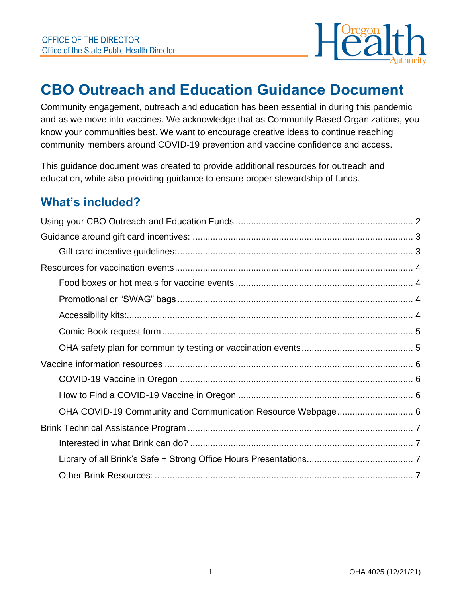

# **CBO Outreach and Education Guidance Document**

Community engagement, outreach and education has been essential in during this pandemic and as we move into vaccines. We acknowledge that as Community Based Organizations, you know your communities best. We want to encourage creative ideas to continue reaching community members around COVID-19 prevention and vaccine confidence and access.

This guidance document was created to provide additional resources for outreach and education, while also providing guidance to ensure proper stewardship of funds.

## **What's included?**

| OHA COVID-19 Community and Communication Resource Webpage 6 |  |
|-------------------------------------------------------------|--|
|                                                             |  |
|                                                             |  |
|                                                             |  |
|                                                             |  |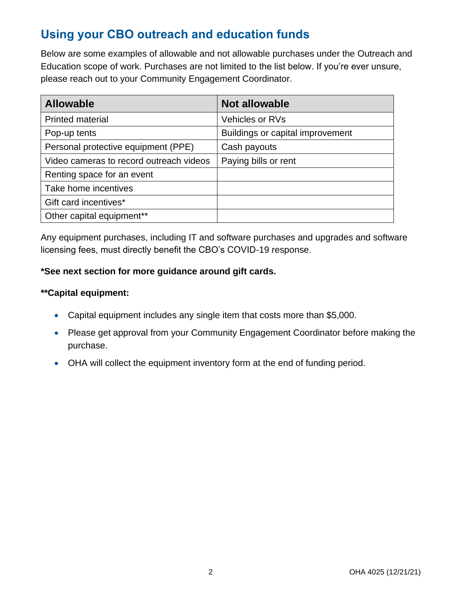# <span id="page-1-0"></span>**Using your CBO outreach and education funds**

Below are some examples of allowable and not allowable purchases under the Outreach and Education scope of work. Purchases are not limited to the list below. If you're ever unsure, please reach out to your Community Engagement Coordinator.

| <b>Allowable</b>                        | <b>Not allowable</b>             |
|-----------------------------------------|----------------------------------|
| <b>Printed material</b>                 | <b>Vehicles or RVs</b>           |
| Pop-up tents                            | Buildings or capital improvement |
| Personal protective equipment (PPE)     | Cash payouts                     |
| Video cameras to record outreach videos | Paying bills or rent             |
| Renting space for an event              |                                  |
| Take home incentives                    |                                  |
| Gift card incentives*                   |                                  |
| Other capital equipment**               |                                  |

Any equipment purchases, including IT and software purchases and upgrades and software licensing fees, must directly benefit the CBO's COVID-19 response.

#### **\*See next section for more guidance around gift cards.**

#### **\*\*Capital equipment:**

- Capital equipment includes any single item that costs more than \$5,000.
- Please get approval from your Community Engagement Coordinator before making the purchase.
- OHA will collect the equipment inventory form at the end of funding period.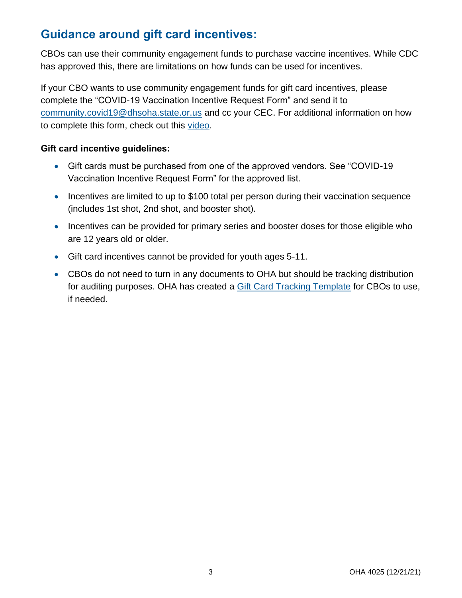# <span id="page-2-0"></span>**Guidance around gift card incentives:**

CBOs can use their community engagement funds to purchase vaccine incentives. While CDC has approved this, there are limitations on how funds can be used for incentives.

If your CBO wants to use community engagement funds for gift card incentives, please complete the "COVID-19 Vaccination Incentive Request Form" and send it to [community.covid19@dhsoha.state.or.us](mailto:community.covid19@dhsoha.state.or.us) and cc your CEC. For additional information on how to complete this form, check out this [video.](https://www.youtube.com/watch?v=oY0lq1VJqi8)

#### <span id="page-2-1"></span>**Gift card incentive guidelines:**

- Gift cards must be purchased from one of the approved vendors. See "COVID-19 Vaccination Incentive Request Form" for the approved list.
- Incentives are limited to up to \$100 total per person during their vaccination sequence (includes 1st shot, 2nd shot, and booster shot).
- Incentives can be provided for primary series and booster doses for those eligible who are 12 years old or older.
- Gift card incentives cannot be provided for youth ages 5-11.
- CBOs do not need to turn in any documents to OHA but should be tracking distribution for auditing purposes. OHA has created a [Gift Card Tracking Template](https://sharedsystems.dhsoha.state.or.us/DHSForms/Served/le1128257.xls) for CBOs to use, if needed.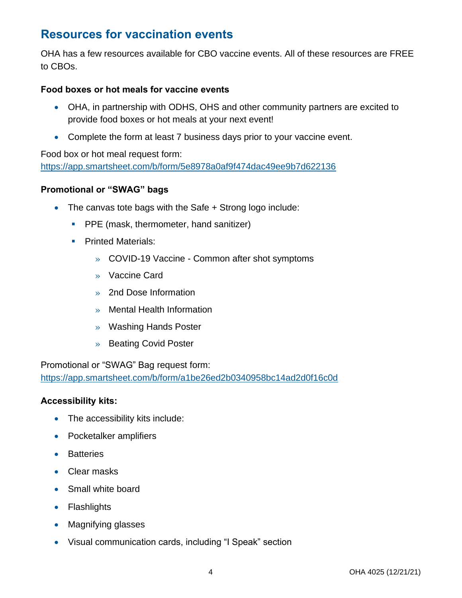## <span id="page-3-0"></span>**Resources for vaccination events**

OHA has a few resources available for CBO vaccine events. All of these resources are FREE to CBOs.

#### <span id="page-3-1"></span>**Food boxes or hot meals for vaccine events**

- OHA, in partnership with ODHS, OHS and other community partners are excited to provide food boxes or hot meals at your next event!
- Complete the form at least 7 business days prior to your vaccine event.

#### Food box or hot meal request form:

<https://app.smartsheet.com/b/form/5e8978a0af9f474dac49ee9b7d622136>

#### <span id="page-3-2"></span>**Promotional or "SWAG" bags**

- The canvas tote bags with the Safe + Strong logo include:
	- **PPE** (mask, thermometer, hand sanitizer)
	- **Printed Materials:** 
		- » COVID-19 Vaccine Common after shot symptoms
		- » Vaccine Card
		- » 2nd Dose Information
		- » Mental Health Information
		- » Washing Hands Poster
		- » Beating Covid Poster

Promotional or "SWAG" Bag request form: <https://app.smartsheet.com/b/form/a1be26ed2b0340958bc14ad2d0f16c0d>

#### <span id="page-3-3"></span>**Accessibility kits:**

- The accessibility kits include:
- Pocketalker amplifiers
- Batteries
- Clear masks
- Small white board
- Flashlights
- Magnifying glasses
- Visual communication cards, including "I Speak" section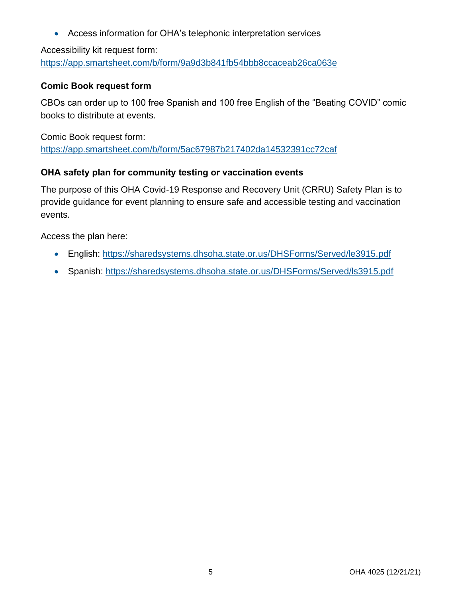• Access information for OHA's telephonic interpretation services

Accessibility kit request form: <https://app.smartsheet.com/b/form/9a9d3b841fb54bbb8ccaceab26ca063e>

#### <span id="page-4-0"></span>**Comic Book request form**

CBOs can order up to 100 free Spanish and 100 free English of the "Beating COVID" comic books to distribute at events.

Comic Book request form: <https://app.smartsheet.com/b/form/5ac67987b217402da14532391cc72caf>

#### <span id="page-4-1"></span>**OHA safety plan for community testing or vaccination events**

The purpose of this OHA Covid-19 Response and Recovery Unit (CRRU) Safety Plan is to provide guidance for event planning to ensure safe and accessible testing and vaccination events.

Access the plan here:

- English: [https://sharedsystems.dhsoha.state.or.us/DHSForms/Served/le3915.pdf](https://gcc02.safelinks.protection.outlook.com/?url=https%3A%2F%2Fr20.rs6.net%2Ftn.jsp%3Ff%3D001Grr-GpoSyFCI0coZCgITqSBgHKtyftikm_JakzBhmnBTOl48JUFD-INyDaN5bek1KgYGx6Q-xBobxdoZRJUFqxjPwxzwZj2mjrH8Q3aHTxTUyHnWMFRFCp4i8UjvIjP0LLCIx5zkUfLI_uofxuwHFpPJZ4tvxq_KolzQPTv6Sdc0FWXaFziIp8PPrsOHV3kKxCPQgPzC6sy1PiFQfapwFQ%3D%3D%26c%3Dykxd8klIkDXKLq1IkLyz26COG5kKxPvFyM4x_qJ1WM3M26g4kTOEEQ%3D%3D%26ch%3DHjCkaG9-xEKYCfVIZ3lJYniq7wvqI89JEYkCGvhKyfnFV-U03tSCOQ%3D%3D&data=04%7C01%7Cdanilyn.galvez%40dhsoha.state.or.us%7C99fd50feefeb4ba83ec808d9ba8420ee%7C658e63e88d39499c8f4813adc9452f4c%7C0%7C0%7C637745898978179210%7CUnknown%7CTWFpbGZsb3d8eyJWIjoiMC4wLjAwMDAiLCJQIjoiV2luMzIiLCJBTiI6Ik1haWwiLCJXVCI6Mn0%3D%7C3000&sdata=SQHkc1JcgTfrT7LHcrKVmln3uk0ANksseoLmGcLOGLo%3D&reserved=0)
- Spanish: [https://sharedsystems.dhsoha.state.or.us/DHSForms/Served/ls3915.pdf](https://gcc02.safelinks.protection.outlook.com/?url=https%3A%2F%2Fr20.rs6.net%2Ftn.jsp%3Ff%3D001Grr-GpoSyFCI0coZCgITqSBgHKtyftikm_JakzBhmnBTOl48JUFD-INyDaN5bek1wQgmmYMzRXR0cJvo_y6KT5QLtuiTz4-ssSdHvHIV8ZrseeJLBQo9H6DbcI_dLm0-sxzLwsxPxVqCNHiLFmsZTCbP6CwhDriCVvV6-IaL1RlQ5MJQjV5YReGfB0pfAsiNtqkRofxqbZ6c5IevTBX1mg%3D%3D%26c%3Dykxd8klIkDXKLq1IkLyz26COG5kKxPvFyM4x_qJ1WM3M26g4kTOEEQ%3D%3D%26ch%3DHjCkaG9-xEKYCfVIZ3lJYniq7wvqI89JEYkCGvhKyfnFV-U03tSCOQ%3D%3D&data=04%7C01%7Cdanilyn.galvez%40dhsoha.state.or.us%7C99fd50feefeb4ba83ec808d9ba8420ee%7C658e63e88d39499c8f4813adc9452f4c%7C0%7C0%7C637745898978179210%7CUnknown%7CTWFpbGZsb3d8eyJWIjoiMC4wLjAwMDAiLCJQIjoiV2luMzIiLCJBTiI6Ik1haWwiLCJXVCI6Mn0%3D%7C3000&sdata=d74AAFUNLlPXxF8JS8FqzKl63CULAvn0OybZ6aq0fdM%3D&reserved=0)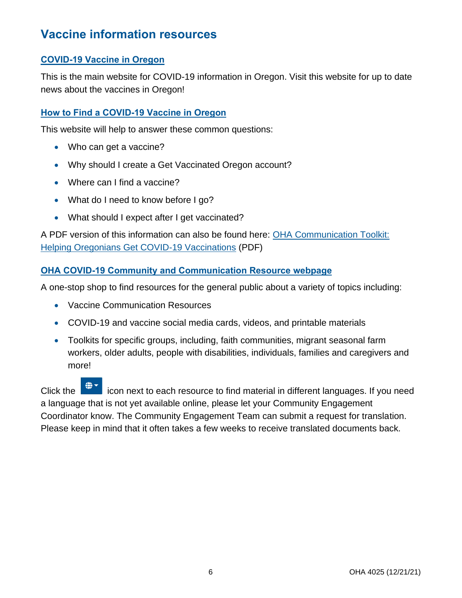## <span id="page-5-0"></span>**Vaccine information resources**

#### <span id="page-5-1"></span>**[COVID-19 Vaccine in Oregon](https://covidvaccine.oregon.gov/)**

This is the main website for COVID-19 information in Oregon. Visit this website for up to date news about the vaccines in Oregon!

#### <span id="page-5-2"></span>**[How to Find a COVID-19 Vaccine in Oregon](https://govstatus.egov.com/find-covid-19-vaccine)**

This website will help to answer these common questions:

- Who can get a vaccine?
- Why should I create a Get Vaccinated Oregon account?
- Where can I find a vaccine?
- What do I need to know before I go?
- What should I expect after I get vaccinated?

A PDF version of this information can also be found here: [OHA Communication Toolkit:](https://sharedsystems.dhsoha.state.or.us/DHSForms/Served/le3646.pdf)  [Helping Oregonians Get COVID-19 Vaccinations](https://sharedsystems.dhsoha.state.or.us/DHSForms/Served/le3646.pdf) (PDF)

#### <span id="page-5-3"></span>**[OHA COVID-19 Community and Communication Resource](https://govstatus.egov.com/or-oha-covid-resources) webpage**

A one-stop shop to find resources for the general public about a variety of topics including:

- Vaccine Communication Resources
- COVID-19 and vaccine social media cards, videos, and printable materials
- Toolkits for specific groups, including, faith communities, migrant seasonal farm workers, older adults, people with disabilities, individuals, families and caregivers and more!

Click the  $\blacksquare$  icon next to each resource to find material in different languages. If you need a language that is not yet available online, please let your Community Engagement Coordinator know. The Community Engagement Team can submit a request for translation. Please keep in mind that it often takes a few weeks to receive translated documents back.